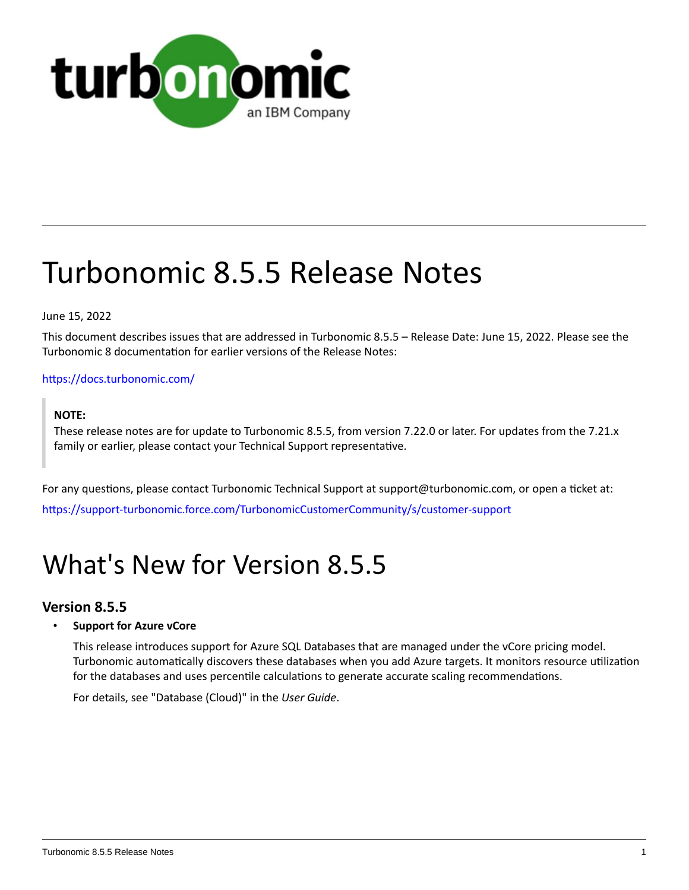

# Turbonomic 8.5.5 Release Notes

June 15, 2022

This document describes issues that are addressed in Turbonomic 8.5.5 – Release Date: June 15, 2022. Please see the Turbonomic 8 documentation for earlier versions of the Release Notes:

## <https://docs.turbonomic.com/>

## **NOTE:**

These release notes are for update to Turbonomic 8.5.5, from version 7.22.0 or later. For updates from the 7.21.x family or earlier, please contact your Technical Support representative.

For any questions, please contact Turbonomic Technical Support at support@turbonomic.com, or open a ticket at: [https://support-turbonomic.force.com/TurbonomicCustomerCommunity/s/customer-support](https://greencircle.vmturbo.com/support)

# What's New for Version 8.5.5

## **Version 8.5.5**

## • **Support for Azure vCore**

This release introduces support for Azure SQL Databases that are managed under the vCore pricing model. Turbonomic automatically discovers these databases when you add Azure targets. It monitors resource utilization for the databases and uses percentile calculations to generate accurate scaling recommendations.

For details, see "Database (Cloud)" in the *User Guide*.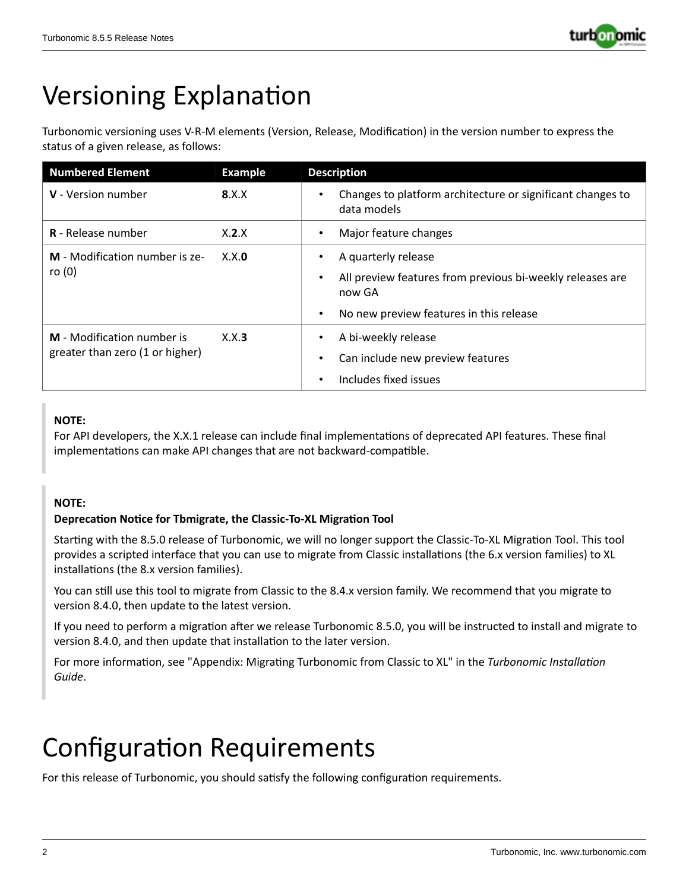

# Versioning Explanation

Turbonomic versioning uses V-R-M elements (Version, Release, Modification) in the version number to express the status of a given release, as follows:

| <b>Numbered Element</b>                                       | <b>Example</b> | <b>Description</b>                                                                                                                                                           |
|---------------------------------------------------------------|----------------|------------------------------------------------------------------------------------------------------------------------------------------------------------------------------|
| <b>V</b> - Version number                                     | 8.X.X          | Changes to platform architecture or significant changes to<br>$\bullet$<br>data models                                                                                       |
| <b>R</b> - Release number                                     | X.2.X          | Major feature changes<br>$\bullet$                                                                                                                                           |
| M - Modification number is ze-<br>ro $(0)$                    | X.X.0          | A quarterly release<br>$\bullet$<br>All preview features from previous bi-weekly releases are<br>$\bullet$<br>now GA<br>No new preview features in this release<br>$\bullet$ |
| M - Modification number is<br>greater than zero (1 or higher) | X.X.3          | A bi-weekly release<br>$\bullet$<br>Can include new preview features<br>٠<br>Includes fixed issues<br>$\bullet$                                                              |

## **NOTE:**

For API developers, the X.X.1 release can include final implementations of deprecated API features. These final implementations can make API changes that are not backward-compatible.

## **NOTE:**

## **Deprecation Notice for Tbmigrate, the Classic-To-XL Migration Tool**

Starting with the 8.5.0 release of Turbonomic, we will no longer support the Classic-To-XL Migration Tool. This tool provides a scripted interface that you can use to migrate from Classic installations (the 6.x version families) to XL installations (the 8.x version families).

You can still use this tool to migrate from Classic to the 8.4.x version family. We recommend that you migrate to version 8.4.0, then update to the latest version.

If you need to perform a migration after we release Turbonomic 8.5.0, you will be instructed to install and migrate to version 8.4.0, and then update that installation to the later version.

For more information, see "Appendix: Migrating Turbonomic from Classic to XL" in the *Turbonomic Installation Guide*.

# Configuration Requirements

For this release of Turbonomic, you should satisfy the following configuration requirements.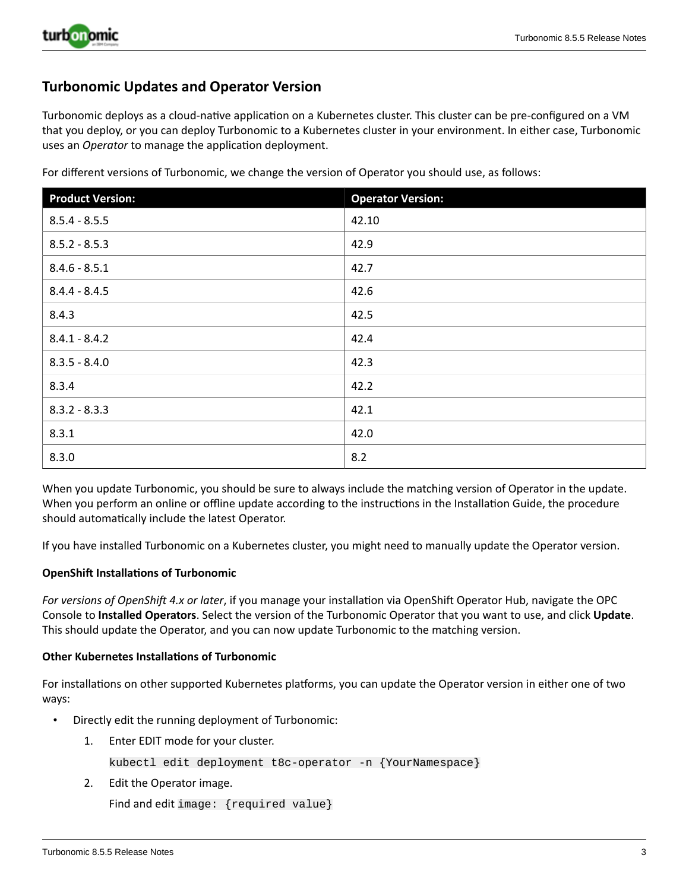

## **Turbonomic Updates and Operator Version**

Turbonomic deploys as a cloud-native application on a Kubernetes cluster. This cluster can be pre-configured on a VM that you deploy, or you can deploy Turbonomic to a Kubernetes cluster in your environment. In either case, Turbonomic uses an *Operator* to manage the application deployment.

For different versions of Turbonomic, we change the version of Operator you should use, as follows:

| <b>Product Version:</b> | <b>Operator Version:</b> |
|-------------------------|--------------------------|
| $8.5.4 - 8.5.5$         | 42.10                    |
| $8.5.2 - 8.5.3$         | 42.9                     |
| $8.4.6 - 8.5.1$         | 42.7                     |
| $8.4.4 - 8.4.5$         | 42.6                     |
| 8.4.3                   | 42.5                     |
| $8.4.1 - 8.4.2$         | 42.4                     |
| $8.3.5 - 8.4.0$         | 42.3                     |
| 8.3.4                   | 42.2                     |
| $8.3.2 - 8.3.3$         | 42.1                     |
| 8.3.1                   | 42.0                     |
| 8.3.0                   | 8.2                      |

When you update Turbonomic, you should be sure to always include the matching version of Operator in the update. When you perform an online or offline update according to the instructions in the Installation Guide, the procedure should automatically include the latest Operator.

If you have installed Turbonomic on a Kubernetes cluster, you might need to manually update the Operator version.

#### **OpenShift Installations of Turbonomic**

*For versions of OpenShift 4.x or later*, if you manage your installation via OpenShift Operator Hub, navigate the OPC Console to **Installed Operators**. Select the version of the Turbonomic Operator that you want to use, and click **Update**. This should update the Operator, and you can now update Turbonomic to the matching version.

#### **Other Kubernetes Installations of Turbonomic**

For installations on other supported Kubernetes platforms, you can update the Operator version in either one of two ways:

- Directly edit the running deployment of Turbonomic:
	- 1. Enter EDIT mode for your cluster.

kubectl edit deployment t8c-operator -n {YourNamespace}

2. Edit the Operator image.

```
Find and edit image: {required value}
```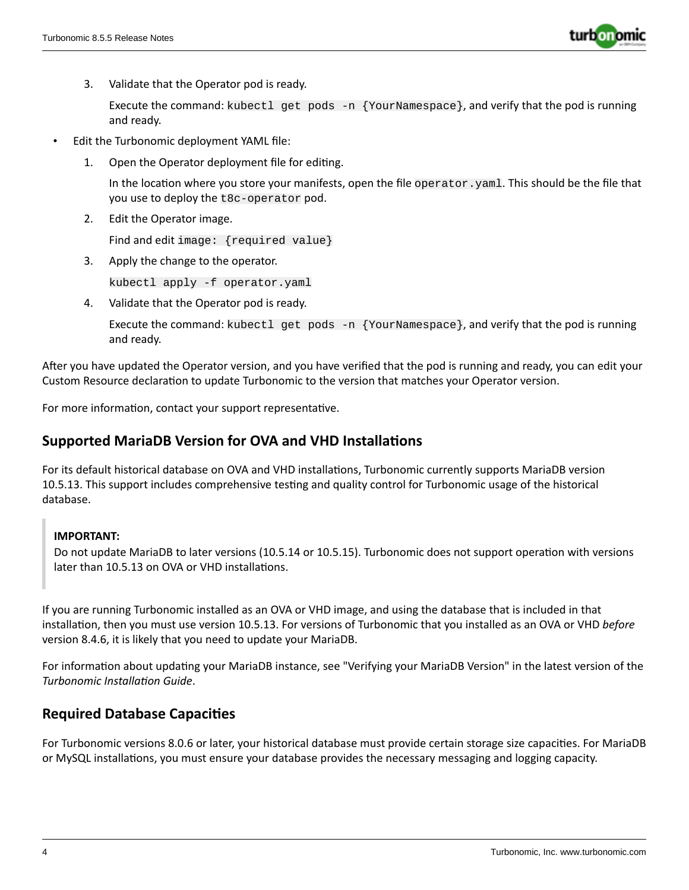

3. Validate that the Operator pod is ready.

Execute the command: kubectl get pods -n {YourNamespace}, and verify that the pod is running and ready.

- Edit the Turbonomic deployment YAML file:
	- 1. Open the Operator deployment file for editing.

In the location where you store your manifests, open the file operator.yaml. This should be the file that you use to deploy the t8c-operator pod.

2. Edit the Operator image.

Find and edit image: {required value}

3. Apply the change to the operator.

kubectl apply -f operator.yaml

4. Validate that the Operator pod is ready.

Execute the command: kubectl get pods  $-n$  {YourNamespace}, and verify that the pod is running and ready.

After you have updated the Operator version, and you have verified that the pod is running and ready, you can edit your Custom Resource declaration to update Turbonomic to the version that matches your Operator version.

For more information, contact your support representative.

# **Supported MariaDB Version for OVA and VHD Installations**

For its default historical database on OVA and VHD installations, Turbonomic currently supports MariaDB version 10.5.13. This support includes comprehensive testing and quality control for Turbonomic usage of the historical database.

## **IMPORTANT:**

Do not update MariaDB to later versions (10.5.14 or 10.5.15). Turbonomic does not support operation with versions later than 10.5.13 on OVA or VHD installations.

If you are running Turbonomic installed as an OVA or VHD image, and using the database that is included in that installation, then you must use version 10.5.13. For versions of Turbonomic that you installed as an OVA or VHD *before* version 8.4.6, it is likely that you need to update your MariaDB.

For information about updating your MariaDB instance, see "Verifying your MariaDB Version" in the latest version of the *Turbonomic Installation Guide*.

# **Required Database Capacities**

For Turbonomic versions 8.0.6 or later, your historical database must provide certain storage size capacities. For MariaDB or MySQL installations, you must ensure your database provides the necessary messaging and logging capacity.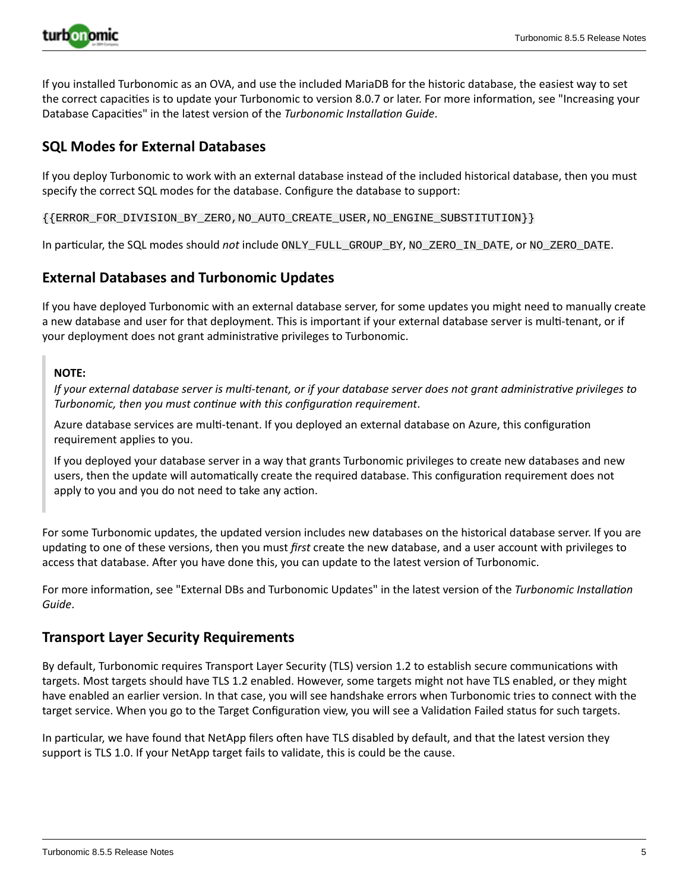

If you installed Turbonomic as an OVA, and use the included MariaDB for the historic database, the easiest way to set the correct capacities is to update your Turbonomic to version 8.0.7 or later. For more information, see "Increasing your Database Capacities" in the latest version of the *Turbonomic Installation Guide*.

## **SQL Modes for External Databases**

If you deploy Turbonomic to work with an external database instead of the included historical database, then you must specify the correct SQL modes for the database. Configure the database to support:

{{ERROR\_FOR\_DIVISION\_BY\_ZERO,NO\_AUTO\_CREATE\_USER,NO\_ENGINE\_SUBSTITUTION}}

In particular, the SQL modes should *not* include ONLY\_FULL\_GROUP\_BY, NO\_ZERO\_IN\_DATE, or NO\_ZERO\_DATE.

# **External Databases and Turbonomic Updates**

If you have deployed Turbonomic with an external database server, for some updates you might need to manually create a new database and user for that deployment. This is important if your external database server is multi-tenant, or if your deployment does not grant administrative privileges to Turbonomic.

## **NOTE:**

If your external database server is multi-tenant, or if your database server does not grant administrative privileges to *Turbonomic, then you must continue with this configuration requirement*.

Azure database services are multi-tenant. If you deployed an external database on Azure, this configuration requirement applies to you.

If you deployed your database server in a way that grants Turbonomic privileges to create new databases and new users, then the update will automatically create the required database. This configuration requirement does not apply to you and you do not need to take any action.

For some Turbonomic updates, the updated version includes new databases on the historical database server. If you are updating to one of these versions, then you must *first* create the new database, and a user account with privileges to access that database. After you have done this, you can update to the latest version of Turbonomic.

For more information, see "External DBs and Turbonomic Updates" in the latest version of the *Turbonomic Installation Guide*.

## **Transport Layer Security Requirements**

By default, Turbonomic requires Transport Layer Security (TLS) version 1.2 to establish secure communications with targets. Most targets should have TLS 1.2 enabled. However, some targets might not have TLS enabled, or they might have enabled an earlier version. In that case, you will see handshake errors when Turbonomic tries to connect with the target service. When you go to the Target Configuration view, you will see a Validation Failed status for such targets.

In particular, we have found that NetApp filers often have TLS disabled by default, and that the latest version they support is TLS 1.0. If your NetApp target fails to validate, this is could be the cause.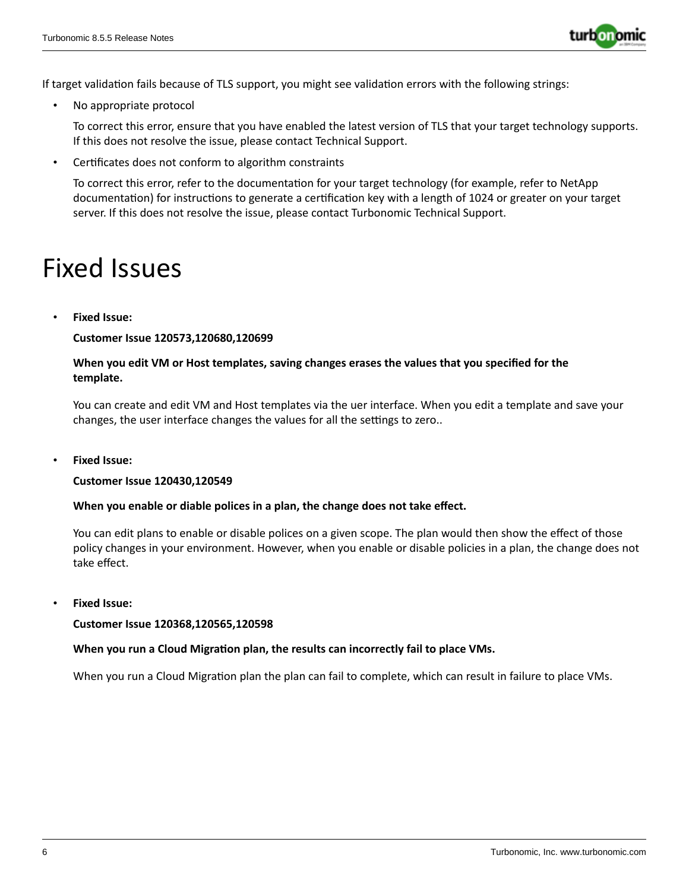

If target validation fails because of TLS support, you might see validation errors with the following strings:

No appropriate protocol

To correct this error, ensure that you have enabled the latest version of TLS that your target technology supports. If this does not resolve the issue, please contact Technical Support.

• Certificates does not conform to algorithm constraints

To correct this error, refer to the documentation for your target technology (for example, refer to NetApp documentation) for instructions to generate a certification key with a length of 1024 or greater on your target server. If this does not resolve the issue, please contact Turbonomic Technical Support.

# Fixed Issues

• **Fixed Issue:**

**Customer Issue 120573,120680,120699**

## **When you edit VM or Host templates, saving changes erases the values that you specified for the template.**

You can create and edit VM and Host templates via the uer interface. When you edit a template and save your changes, the user interface changes the values for all the settings to zero..

• **Fixed Issue:**

#### **Customer Issue 120430,120549**

#### **When you enable or diable polices in a plan, the change does not take effect.**

You can edit plans to enable or disable polices on a given scope. The plan would then show the effect of those policy changes in your environment. However, when you enable or disable policies in a plan, the change does not take effect.

• **Fixed Issue:**

**Customer Issue 120368,120565,120598**

#### **When you run a Cloud Migration plan, the results can incorrectly fail to place VMs.**

When you run a Cloud Migration plan the plan can fail to complete, which can result in failure to place VMs.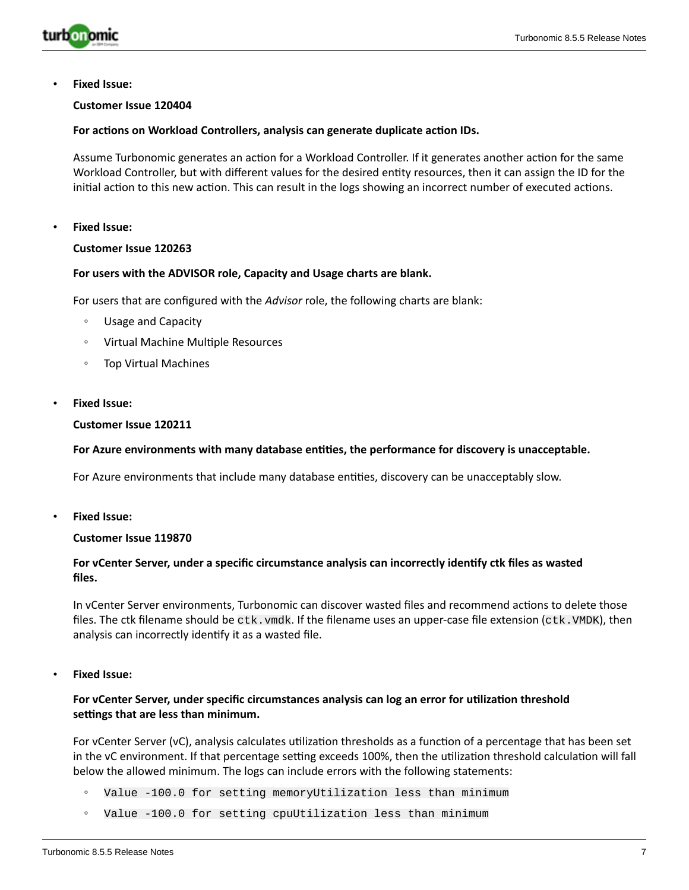

• **Fixed Issue:**

#### **Customer Issue 120404**

#### **For actions on Workload Controllers, analysis can generate duplicate action IDs.**

Assume Turbonomic generates an action for a Workload Controller. If it generates another action for the same Workload Controller, but with different values for the desired entity resources, then it can assign the ID for the initial action to this new action. This can result in the logs showing an incorrect number of executed actions.

#### • **Fixed Issue:**

## **Customer Issue 120263**

#### **For users with the ADVISOR role, Capacity and Usage charts are blank.**

For users that are configured with the *Advisor* role, the following charts are blank:

- Usage and Capacity
- Virtual Machine Multiple Resources
- Top Virtual Machines
- **Fixed Issue:**

#### **Customer Issue 120211**

#### **For Azure environments with many database entities, the performance for discovery is unacceptable.**

For Azure environments that include many database entities, discovery can be unacceptably slow.

• **Fixed Issue:**

#### **Customer Issue 119870**

#### **For vCenter Server, under a specific circumstance analysis can incorrectly identify ctk files as wasted files.**

In vCenter Server environments, Turbonomic can discover wasted files and recommend actions to delete those files. The ctk filename should be  $\text{ctk}$ .  $\text{vmdk}$ . If the filename uses an upper-case file extension ( $\text{ctk}$ .  $\text{VMDK}$ ), then analysis can incorrectly identify it as a wasted file.

• **Fixed Issue:**

#### **For vCenter Server, under specific circumstances analysis can log an error for utilization threshold settings that are less than minimum.**

For vCenter Server (vC), analysis calculates utilization thresholds as a function of a percentage that has been set in the vC environment. If that percentage setting exceeds 100%, then the utilization threshold calculation will fall below the allowed minimum. The logs can include errors with the following statements:

- Value -100.0 for setting memoryUtilization less than minimum
- Value -100.0 for setting cpuUtilization less than minimum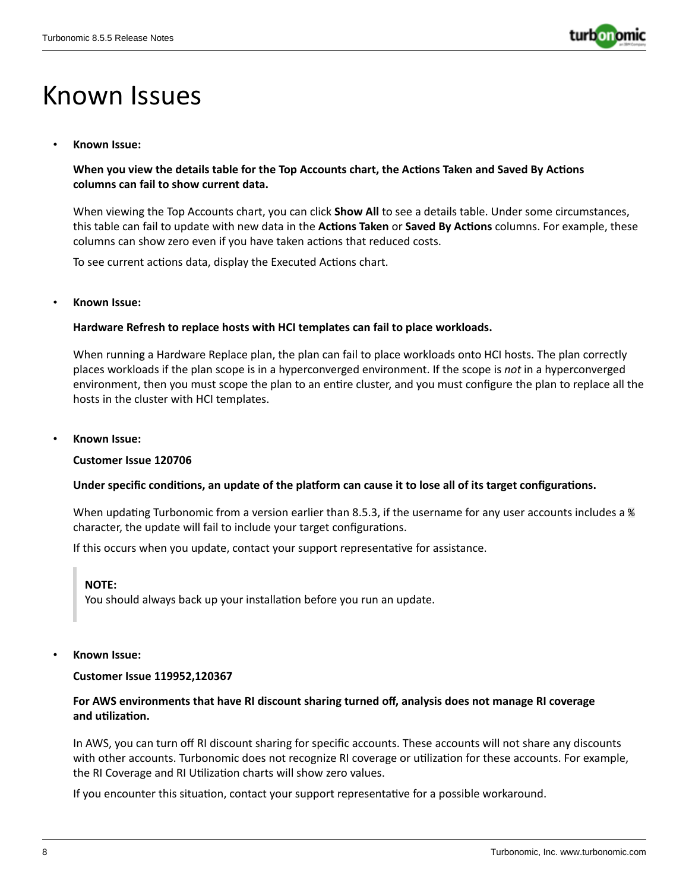

# Known Issues

## • **Known Issue:**

## **When you view the details table for the Top Accounts chart, the Actions Taken and Saved By Actions columns can fail to show current data.**

When viewing the Top Accounts chart, you can click **Show All** to see a details table. Under some circumstances, this table can fail to update with new data in the **Actions Taken** or **Saved By Actions** columns. For example, these columns can show zero even if you have taken actions that reduced costs.

To see current actions data, display the Executed Actions chart.

• **Known Issue:**

## **Hardware Refresh to replace hosts with HCI templates can fail to place workloads.**

When running a Hardware Replace plan, the plan can fail to place workloads onto HCI hosts. The plan correctly places workloads if the plan scope is in a hyperconverged environment. If the scope is *not* in a hyperconverged environment, then you must scope the plan to an entire cluster, and you must configure the plan to replace all the hosts in the cluster with HCI templates.

• **Known Issue:**

#### **Customer Issue 120706**

#### Under specific conditions, an update of the platform can cause it to lose all of its target configurations.

When updating Turbonomic from a version earlier than 8.5.3, if the username for any user accounts includes a % character, the update will fail to include your target configurations.

If this occurs when you update, contact your support representative for assistance.

#### **NOTE:**

You should always back up your installation before you run an update.

• **Known Issue:**

#### **Customer Issue 119952,120367**

## **For AWS environments that have RI discount sharing turned off, analysis does not manage RI coverage and utilization.**

In AWS, you can turn off RI discount sharing for specific accounts. These accounts will not share any discounts with other accounts. Turbonomic does not recognize RI coverage or utilization for these accounts. For example, the RI Coverage and RI Utilization charts will show zero values.

If you encounter this situation, contact your support representative for a possible workaround.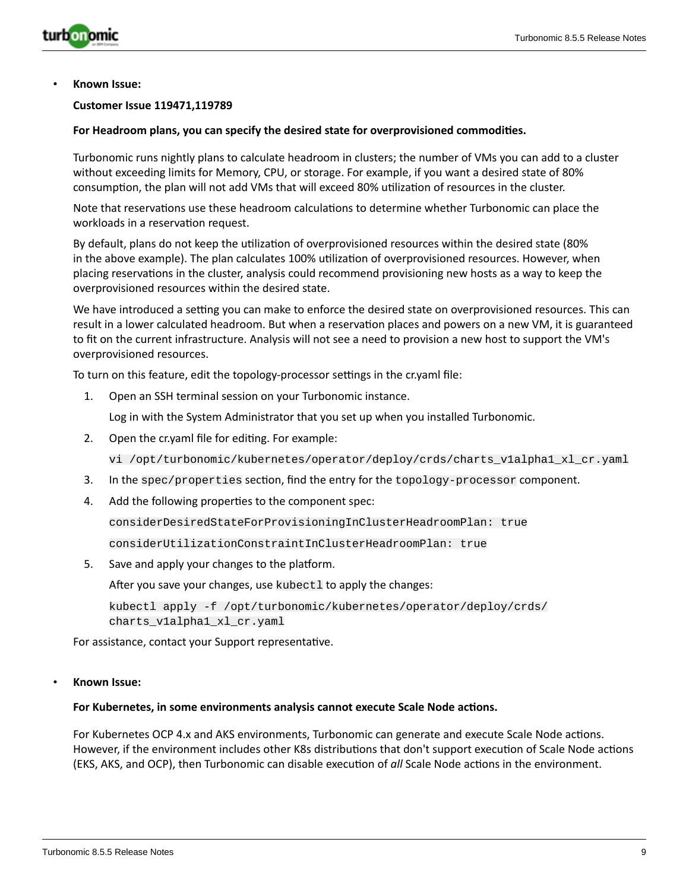

#### **Customer Issue 119471,119789**

#### **For Headroom plans, you can specify the desired state for overprovisioned commodities.**

Turbonomic runs nightly plans to calculate headroom in clusters; the number of VMs you can add to a cluster without exceeding limits for Memory, CPU, or storage. For example, if you want a desired state of 80% consumption, the plan will not add VMs that will exceed 80% utilization of resources in the cluster.

Note that reservations use these headroom calculations to determine whether Turbonomic can place the workloads in a reservation request.

By default, plans do not keep the utilization of overprovisioned resources within the desired state (80% in the above example). The plan calculates 100% utilization of overprovisioned resources. However, when placing reservations in the cluster, analysis could recommend provisioning new hosts as a way to keep the overprovisioned resources within the desired state.

We have introduced a setting you can make to enforce the desired state on overprovisioned resources. This can result in a lower calculated headroom. But when a reservation places and powers on a new VM, it is guaranteed to fit on the current infrastructure. Analysis will not see a need to provision a new host to support the VM's overprovisioned resources.

To turn on this feature, edit the topology-processor settings in the cr.yaml file:

1. Open an SSH terminal session on your Turbonomic instance.

Log in with the System Administrator that you set up when you installed Turbonomic.

2. Open the cr.yaml file for editing. For example:

vi /opt/turbonomic/kubernetes/operator/deploy/crds/charts\_v1alpha1\_xl\_cr.yaml

- 3. In the spec/properties section, find the entry for the topology-processor component.
- 4. Add the following properties to the component spec:

considerDesiredStateForProvisioningInClusterHeadroomPlan: true

considerUtilizationConstraintInClusterHeadroomPlan: true

5. Save and apply your changes to the platform.

After you save your changes, use kubectl to apply the changes:

kubectl apply -f /opt/turbonomic/kubernetes/operator/deploy/crds/ charts\_v1alpha1\_xl\_cr.yaml

For assistance, contact your Support representative.

#### • **Known Issue:**

#### **For Kubernetes, in some environments analysis cannot execute Scale Node actions.**

For Kubernetes OCP 4.x and AKS environments, Turbonomic can generate and execute Scale Node actions. However, if the environment includes other K8s distributions that don't support execution of Scale Node actions (EKS, AKS, and OCP), then Turbonomic can disable execution of *all* Scale Node actions in the environment.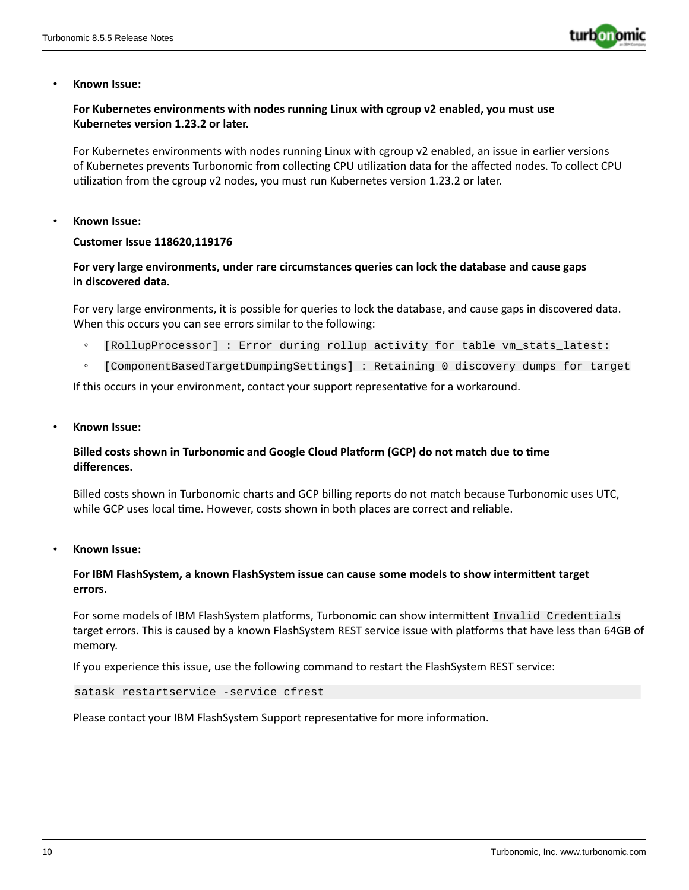

## **For Kubernetes environments with nodes running Linux with cgroup v2 enabled, you must use Kubernetes version 1.23.2 or later.**

For Kubernetes environments with nodes running Linux with cgroup v2 enabled, an issue in earlier versions of Kubernetes prevents Turbonomic from collecting CPU utilization data for the affected nodes. To collect CPU utilization from the cgroup v2 nodes, you must run Kubernetes version 1.23.2 or later.

#### • **Known Issue:**

#### **Customer Issue 118620,119176**

## **For very large environments, under rare circumstances queries can lock the database and cause gaps in discovered data.**

For very large environments, it is possible for queries to lock the database, and cause gaps in discovered data. When this occurs you can see errors similar to the following:

- [RollupProcessor] : Error during rollup activity for table vm\_stats\_latest:
- [ComponentBasedTargetDumpingSettings] : Retaining 0 discovery dumps for target

If this occurs in your environment, contact your support representative for a workaround.

• **Known Issue:**

## **Billed costs shown in Turbonomic and Google Cloud Platform (GCP) do not match due to time differences.**

Billed costs shown in Turbonomic charts and GCP billing reports do not match because Turbonomic uses UTC, while GCP uses local time. However, costs shown in both places are correct and reliable.

• **Known Issue:**

## **For IBM FlashSystem, a known FlashSystem issue can cause some models to show intermittent target errors.**

For some models of IBM FlashSystem platforms, Turbonomic can show intermittent Invalid Credentials target errors. This is caused by a known FlashSystem REST service issue with platforms that have less than 64GB of memory.

If you experience this issue, use the following command to restart the FlashSystem REST service:

```
satask restartservice -service cfrest
```
Please contact your IBM FlashSystem Support representative for more information.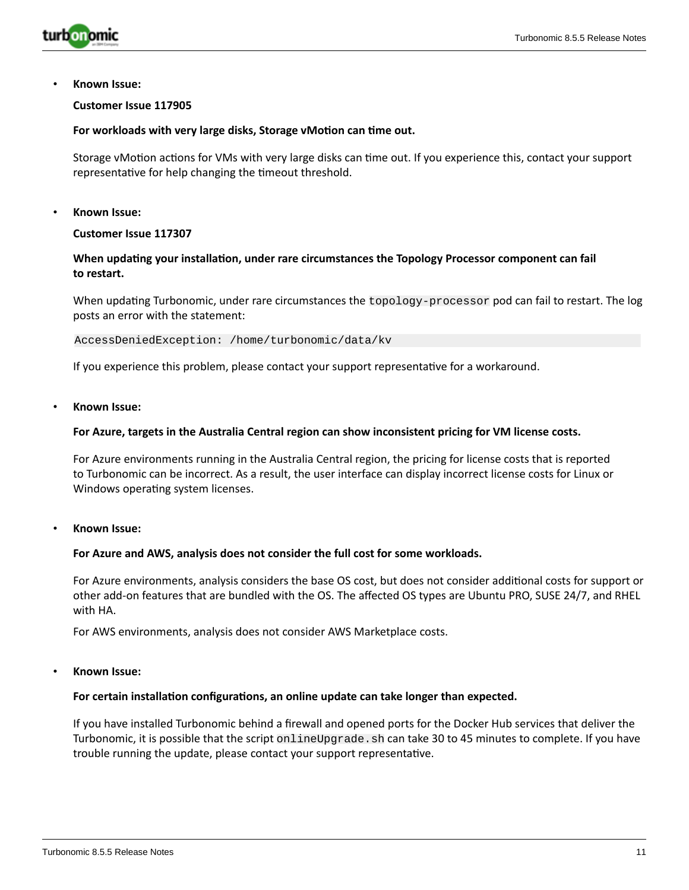

#### **Customer Issue 117905**

#### **For workloads with very large disks, Storage vMotion can time out.**

Storage vMotion actions for VMs with very large disks can time out. If you experience this, contact your support representative for help changing the timeout threshold.

• **Known Issue:**

#### **Customer Issue 117307**

## **When updating your installation, under rare circumstances the Topology Processor component can fail to restart.**

When updating Turbonomic, under rare circumstances the topology-processor pod can fail to restart. The log posts an error with the statement:

AccessDeniedException: /home/turbonomic/data/kv

If you experience this problem, please contact your support representative for a workaround.

• **Known Issue:**

#### **For Azure, targets in the Australia Central region can show inconsistent pricing for VM license costs.**

For Azure environments running in the Australia Central region, the pricing for license costs that is reported to Turbonomic can be incorrect. As a result, the user interface can display incorrect license costs for Linux or Windows operating system licenses.

• **Known Issue:**

#### **For Azure and AWS, analysis does not consider the full cost for some workloads.**

For Azure environments, analysis considers the base OS cost, but does not consider additional costs for support or other add-on features that are bundled with the OS. The affected OS types are Ubuntu PRO, SUSE 24/7, and RHEL with HA.

For AWS environments, analysis does not consider AWS Marketplace costs.

#### • **Known Issue:**

#### **For certain installation configurations, an online update can take longer than expected.**

If you have installed Turbonomic behind a firewall and opened ports for the Docker Hub services that deliver the Turbonomic, it is possible that the script onlineUpgrade. sh can take 30 to 45 minutes to complete. If you have trouble running the update, please contact your support representative.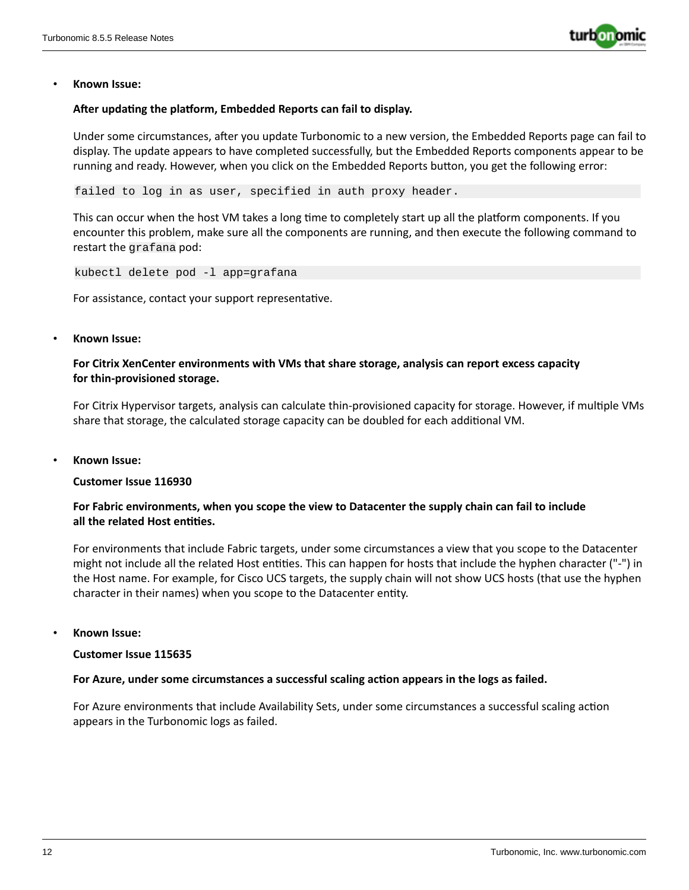

#### **After updating the platform, Embedded Reports can fail to display.**

Under some circumstances, after you update Turbonomic to a new version, the Embedded Reports page can fail to display. The update appears to have completed successfully, but the Embedded Reports components appear to be running and ready. However, when you click on the Embedded Reports button, you get the following error:

failed to log in as user, specified in auth proxy header.

This can occur when the host VM takes a long time to completely start up all the platform components. If you encounter this problem, make sure all the components are running, and then execute the following command to restart the grafana pod:

kubectl delete pod -l app=grafana

For assistance, contact your support representative.

#### • **Known Issue:**

## **For Citrix XenCenter environments with VMs that share storage, analysis can report excess capacity for thin-provisioned storage.**

For Citrix Hypervisor targets, analysis can calculate thin-provisioned capacity for storage. However, if multiple VMs share that storage, the calculated storage capacity can be doubled for each additional VM.

• **Known Issue:**

### **Customer Issue 116930**

## **For Fabric environments, when you scope the view to Datacenter the supply chain can fail to include all the related Host entities.**

For environments that include Fabric targets, under some circumstances a view that you scope to the Datacenter might not include all the related Host entities. This can happen for hosts that include the hyphen character ("-") in the Host name. For example, for Cisco UCS targets, the supply chain will not show UCS hosts (that use the hyphen character in their names) when you scope to the Datacenter entity.

• **Known Issue:**

#### **Customer Issue 115635**

#### **For Azure, under some circumstances a successful scaling action appears in the logs as failed.**

For Azure environments that include Availability Sets, under some circumstances a successful scaling action appears in the Turbonomic logs as failed.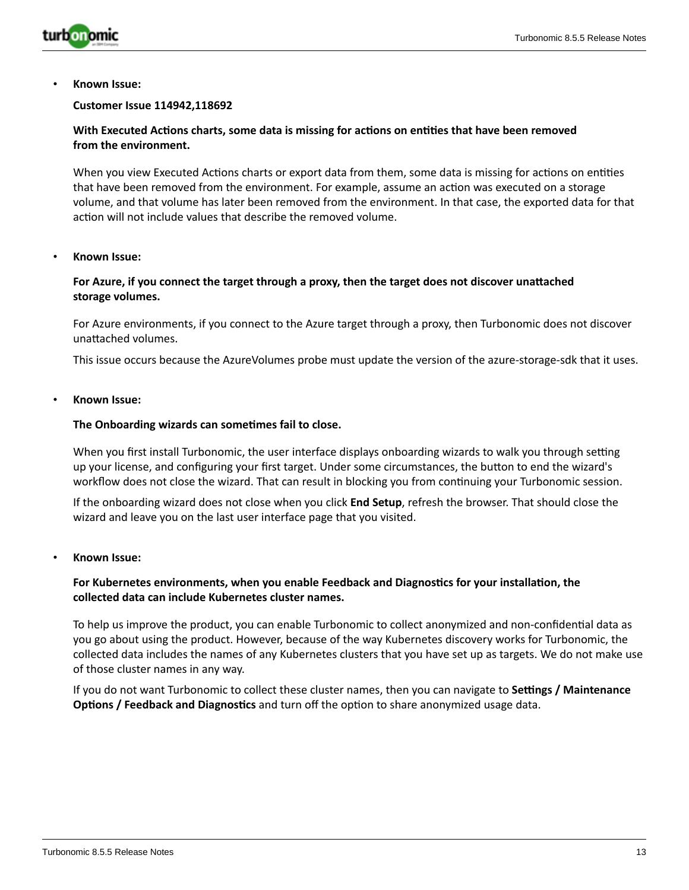

#### **Customer Issue 114942,118692**

## **With Executed Actions charts, some data is missing for actions on entities that have been removed from the environment.**

When you view Executed Actions charts or export data from them, some data is missing for actions on entities that have been removed from the environment. For example, assume an action was executed on a storage volume, and that volume has later been removed from the environment. In that case, the exported data for that action will not include values that describe the removed volume.

#### • **Known Issue:**

### **For Azure, if you connect the target through a proxy, then the target does not discover unattached storage volumes.**

For Azure environments, if you connect to the Azure target through a proxy, then Turbonomic does not discover unattached volumes.

This issue occurs because the AzureVolumes probe must update the version of the azure-storage-sdk that it uses.

#### • **Known Issue:**

#### **The Onboarding wizards can sometimes fail to close.**

When you first install Turbonomic, the user interface displays onboarding wizards to walk you through setting up your license, and configuring your first target. Under some circumstances, the button to end the wizard's workflow does not close the wizard. That can result in blocking you from continuing your Turbonomic session.

If the onboarding wizard does not close when you click **End Setup**, refresh the browser. That should close the wizard and leave you on the last user interface page that you visited.

#### • **Known Issue:**

### **For Kubernetes environments, when you enable Feedback and Diagnostics for your installation, the collected data can include Kubernetes cluster names.**

To help us improve the product, you can enable Turbonomic to collect anonymized and non-confidential data as you go about using the product. However, because of the way Kubernetes discovery works for Turbonomic, the collected data includes the names of any Kubernetes clusters that you have set up as targets. We do not make use of those cluster names in any way.

If you do not want Turbonomic to collect these cluster names, then you can navigate to **Settings / Maintenance Options / Feedback and Diagnostics** and turn off the option to share anonymized usage data.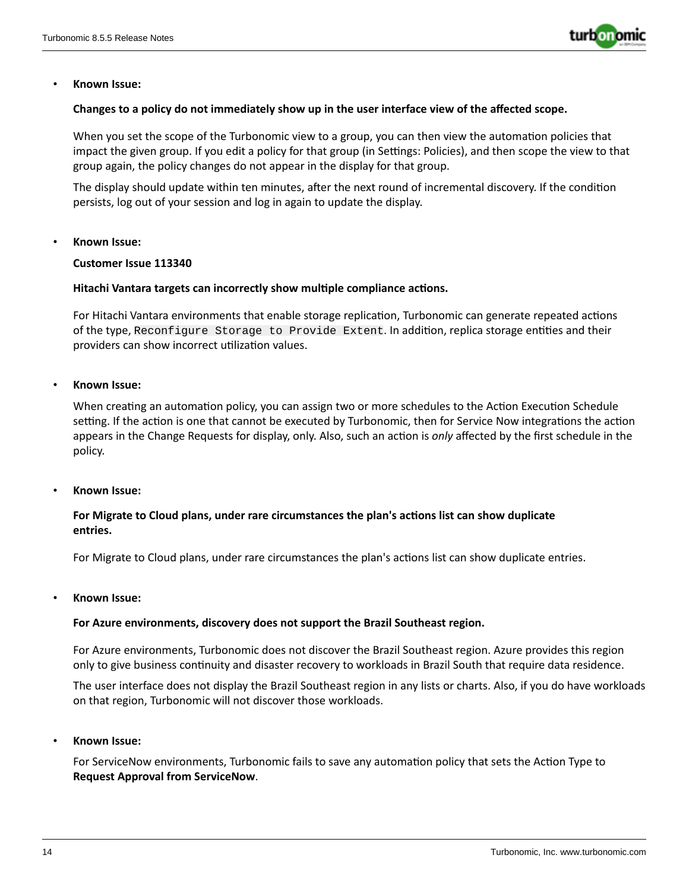

#### **Changes to a policy do not immediately show up in the user interface view of the affected scope.**

When you set the scope of the Turbonomic view to a group, you can then view the automation policies that impact the given group. If you edit a policy for that group (in Settings: Policies), and then scope the view to that group again, the policy changes do not appear in the display for that group.

The display should update within ten minutes, after the next round of incremental discovery. If the condition persists, log out of your session and log in again to update the display.

#### • **Known Issue:**

#### **Customer Issue 113340**

#### **Hitachi Vantara targets can incorrectly show multiple compliance actions.**

For Hitachi Vantara environments that enable storage replication, Turbonomic can generate repeated actions of the type, Reconfigure Storage to Provide Extent. In addition, replica storage entities and their providers can show incorrect utilization values.

#### • **Known Issue:**

When creating an automation policy, you can assign two or more schedules to the Action Execution Schedule setting. If the action is one that cannot be executed by Turbonomic, then for Service Now integrations the action appears in the Change Requests for display, only. Also, such an action is *only* affected by the first schedule in the policy.

#### • **Known Issue:**

## **For Migrate to Cloud plans, under rare circumstances the plan's actions list can show duplicate entries.**

For Migrate to Cloud plans, under rare circumstances the plan's actions list can show duplicate entries.

#### • **Known Issue:**

#### **For Azure environments, discovery does not support the Brazil Southeast region.**

For Azure environments, Turbonomic does not discover the Brazil Southeast region. Azure provides this region only to give business continuity and disaster recovery to workloads in Brazil South that require data residence.

The user interface does not display the Brazil Southeast region in any lists or charts. Also, if you do have workloads on that region, Turbonomic will not discover those workloads.

• **Known Issue:**

For ServiceNow environments, Turbonomic fails to save any automation policy that sets the Action Type to **Request Approval from ServiceNow**.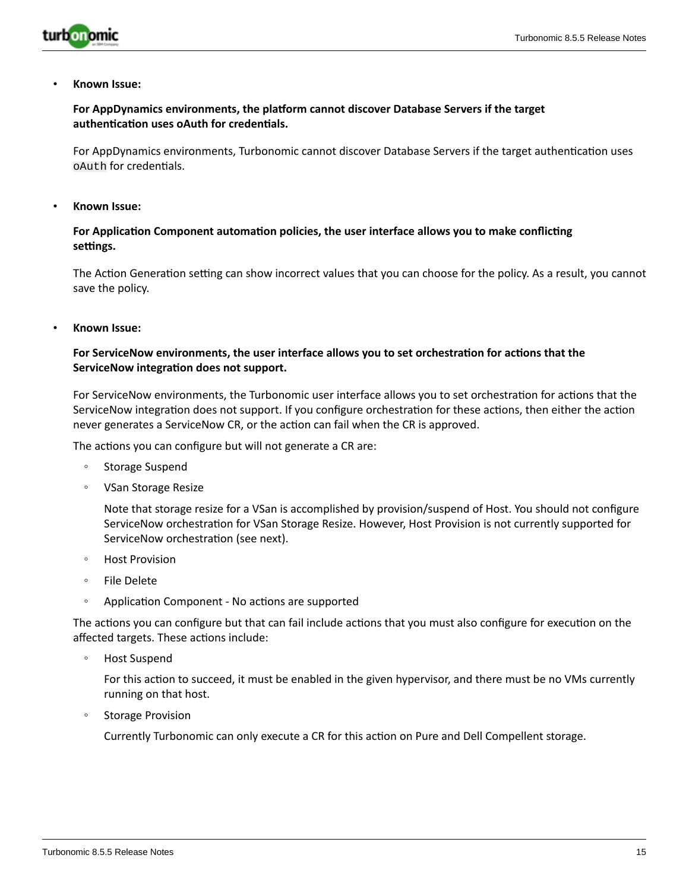

## **For AppDynamics environments, the platform cannot discover Database Servers if the target authentication uses oAuth for credentials.**

For AppDynamics environments, Turbonomic cannot discover Database Servers if the target authentication uses oAuth for credentials.

• **Known Issue:**

## **For Application Component automation policies, the user interface allows you to make conflicting settings.**

The Action Generation setting can show incorrect values that you can choose for the policy. As a result, you cannot save the policy.

• **Known Issue:**

## **For ServiceNow environments, the user interface allows you to set orchestration for actions that the ServiceNow integration does not support.**

For ServiceNow environments, the Turbonomic user interface allows you to set orchestration for actions that the ServiceNow integration does not support. If you configure orchestration for these actions, then either the action never generates a ServiceNow CR, or the action can fail when the CR is approved.

The actions you can configure but will not generate a CR are:

- Storage Suspend
- VSan Storage Resize

Note that storage resize for a VSan is accomplished by provision/suspend of Host. You should not configure ServiceNow orchestration for VSan Storage Resize. However, Host Provision is not currently supported for ServiceNow orchestration (see next).

- Host Provision
- File Delete
- Application Component No actions are supported

The actions you can configure but that can fail include actions that you must also configure for execution on the affected targets. These actions include:

◦ Host Suspend

For this action to succeed, it must be enabled in the given hypervisor, and there must be no VMs currently running on that host.

◦ Storage Provision

Currently Turbonomic can only execute a CR for this action on Pure and Dell Compellent storage.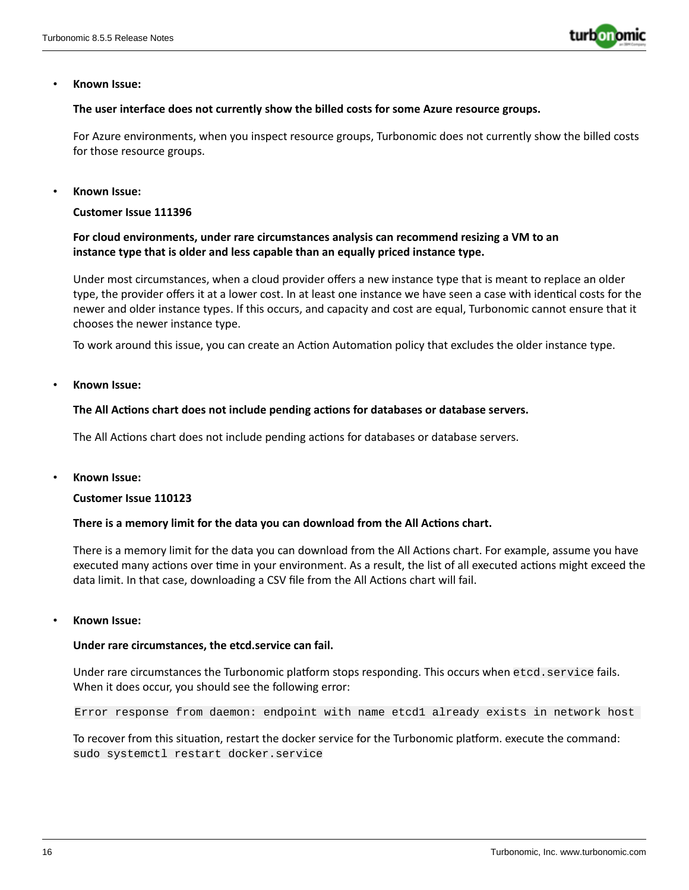

#### **The user interface does not currently show the billed costs for some Azure resource groups.**

For Azure environments, when you inspect resource groups, Turbonomic does not currently show the billed costs for those resource groups.

#### • **Known Issue:**

**Customer Issue 111396**

## **For cloud environments, under rare circumstances analysis can recommend resizing a VM to an instance type that is older and less capable than an equally priced instance type.**

Under most circumstances, when a cloud provider offers a new instance type that is meant to replace an older type, the provider offers it at a lower cost. In at least one instance we have seen a case with identical costs for the newer and older instance types. If this occurs, and capacity and cost are equal, Turbonomic cannot ensure that it chooses the newer instance type.

To work around this issue, you can create an Action Automation policy that excludes the older instance type.

• **Known Issue:**

#### **The All Actions chart does not include pending actions for databases or database servers.**

The All Actions chart does not include pending actions for databases or database servers.

• **Known Issue:**

#### **Customer Issue 110123**

#### **There is a memory limit for the data you can download from the All Actions chart.**

There is a memory limit for the data you can download from the All Actions chart. For example, assume you have executed many actions over time in your environment. As a result, the list of all executed actions might exceed the data limit. In that case, downloading a CSV file from the All Actions chart will fail.

#### • **Known Issue:**

#### **Under rare circumstances, the etcd.service can fail.**

Under rare circumstances the Turbonomic platform stops responding. This occurs when etcd.service fails. When it does occur, you should see the following error:

Error response from daemon: endpoint with name etcd1 already exists in network host

To recover from this situation, restart the docker service for the Turbonomic platform. execute the command: sudo systemctl restart docker.service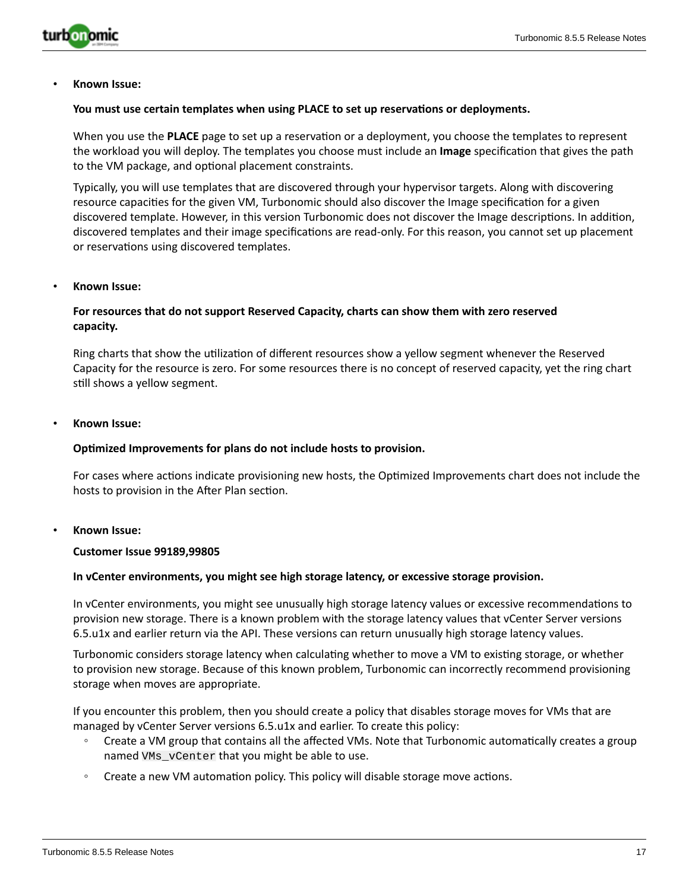

#### **You must use certain templates when using PLACE to set up reservations or deployments.**

When you use the **PLACE** page to set up a reservation or a deployment, you choose the templates to represent the workload you will deploy. The templates you choose must include an **Image** specification that gives the path to the VM package, and optional placement constraints.

Typically, you will use templates that are discovered through your hypervisor targets. Along with discovering resource capacities for the given VM, Turbonomic should also discover the Image specification for a given discovered template. However, in this version Turbonomic does not discover the Image descriptions. In addition, discovered templates and their image specifications are read-only. For this reason, you cannot set up placement or reservations using discovered templates.

#### • **Known Issue:**

## **For resources that do not support Reserved Capacity, charts can show them with zero reserved capacity.**

Ring charts that show the utilization of different resources show a yellow segment whenever the Reserved Capacity for the resource is zero. For some resources there is no concept of reserved capacity, yet the ring chart still shows a yellow segment.

#### • **Known Issue:**

#### **Optimized Improvements for plans do not include hosts to provision.**

For cases where actions indicate provisioning new hosts, the Optimized Improvements chart does not include the hosts to provision in the After Plan section.

#### • **Known Issue:**

#### **Customer Issue 99189,99805**

#### **In vCenter environments, you might see high storage latency, or excessive storage provision.**

In vCenter environments, you might see unusually high storage latency values or excessive recommendations to provision new storage. There is a known problem with the storage latency values that vCenter Server versions 6.5.u1x and earlier return via the API. These versions can return unusually high storage latency values.

Turbonomic considers storage latency when calculating whether to move a VM to existing storage, or whether to provision new storage. Because of this known problem, Turbonomic can incorrectly recommend provisioning storage when moves are appropriate.

If you encounter this problem, then you should create a policy that disables storage moves for VMs that are managed by vCenter Server versions 6.5.u1x and earlier. To create this policy:

- Create a VM group that contains all the affected VMs. Note that Turbonomic automatically creates a group named VMs\_vCenter that you might be able to use.
- Create a new VM automation policy. This policy will disable storage move actions.